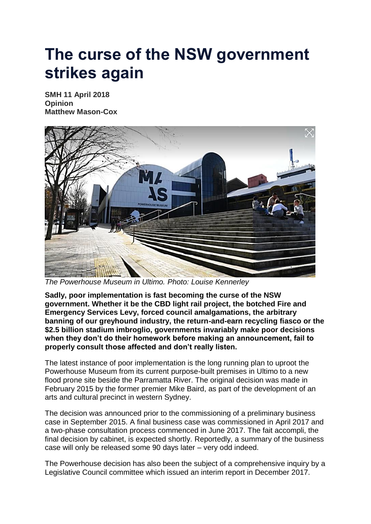## **The curse of the NSW government strikes again**

**SMH 11 April 2018 Opinion Matthew Mason-Cox**



*The Powerhouse Museum in Ultimo. Photo: Louise Kennerley*

**Sadly, poor implementation is fast becoming the curse of the NSW government. Whether it be the CBD light rail project, the botched Fire and Emergency Services Levy, forced council amalgamations, the arbitrary banning of our greyhound industry, the return-and-earn recycling fiasco or the \$2.5 billion stadium imbroglio, governments invariably make poor decisions when they don't do their homework before making an announcement, fail to properly consult those affected and don't really listen.**

The latest instance of poor implementation is the long running plan to uproot the Powerhouse Museum from its current purpose-built premises in Ultimo to a new flood prone site beside the Parramatta River. The original decision was made in February 2015 by the former premier Mike Baird, as part of the development of an arts and cultural precinct in western Sydney.

The decision was announced prior to the commissioning of a preliminary business case in September 2015. A final business case was commissioned in April 2017 and a two-phase consultation process commenced in June 2017. The fait accompli, the final decision by cabinet, is expected shortly. Reportedly, a summary of the business case will only be released some 90 days later – very odd indeed.

The Powerhouse decision has also been the subject of a comprehensive inquiry by a Legislative Council committee which issued an interim report in December 2017.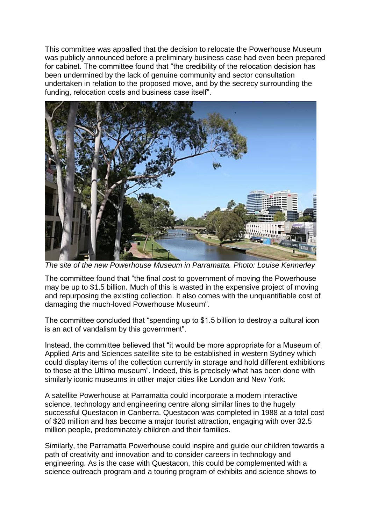This committee was appalled that the decision to relocate the Powerhouse Museum was publicly announced before a preliminary business case had even been prepared for cabinet. The committee found that "the credibility of the relocation decision has been undermined by the lack of genuine community and sector consultation undertaken in relation to the proposed move, and by the secrecy surrounding the funding, relocation costs and business case itself".



*The site of the new Powerhouse Museum in Parramatta. Photo: Louise Kennerley*

The committee found that "the final cost to government of moving the Powerhouse may be up to \$1.5 billion. Much of this is wasted in the expensive project of moving and repurposing the existing collection. It also comes with the unquantifiable cost of damaging the much-loved Powerhouse Museum".

The committee concluded that "spending up to \$1.5 billion to destroy a cultural icon is an act of vandalism by this government".

Instead, the committee believed that "it would be more appropriate for a Museum of Applied Arts and Sciences satellite site to be established in western Sydney which could display items of the collection currently in storage and hold different exhibitions to those at the Ultimo museum". Indeed, this is precisely what has been done with similarly iconic museums in other major cities like London and New York.

A satellite Powerhouse at Parramatta could incorporate a modern interactive science, technology and engineering centre along similar lines to the hugely successful Questacon in Canberra. Questacon was completed in 1988 at a total cost of \$20 million and has become a major tourist attraction, engaging with over 32.5 million people, predominately children and their families.

Similarly, the Parramatta Powerhouse could inspire and guide our children towards a path of creativity and innovation and to consider careers in technology and engineering. As is the case with Questacon, this could be complemented with a science outreach program and a touring program of exhibits and science shows to